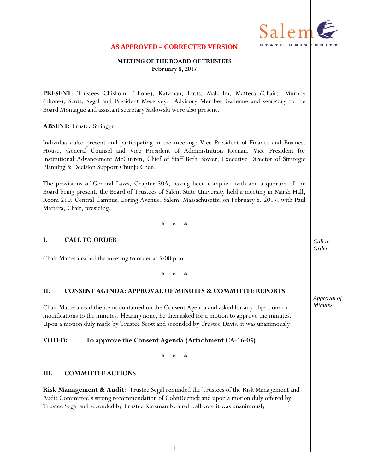

#### **AS APPROVED – CORRECTED VERSION**

### **MEETING OF THE BOARD OF TRUSTEES February 8, 2017**

**PRESENT**: Trustees Chisholm (phone), Katzman, Lutts, Malcolm, Mattera (Chair), Murphy (phone), Scott, Segal and President Meservey. Advisory Member Gadenne and secretary to the Board Montague and assistant secretary Sadowski were also present.

#### **ABSENT:** Trustee Stringer

Individuals also present and participating in the meeting: Vice President of Finance and Business House, General Counsel and Vice President of Administration Keenan, Vice President for Institutional Advancement McGurren, Chief of Staff Beth Bower, Executive Director of Strategic Planning & Decision Support Chunju Chen.

The provisions of General Laws, Chapter 30A, having been complied with and a quorum of the Board being present, the Board of Trustees of Salem State University held a meeting in Marsh Hall, Room 210, Central Campus, Loring Avenue, Salem, Massachusetts, on February 8, 2017, with Paul Mattera, Chair, presiding.

\* \* \*

### **I. CALL TO ORDER**

Chair Mattera called the meeting to order at 5:00 p.m.

\* \* \*

### **II. CONSENT AGENDA: APPROVAL OF MINUTES & COMMITTEE REPORTS**

Chair Mattera read the items contained on the Consent Agenda and asked for any objections or modifications to the minutes. Hearing none, he then asked for a motion to approve the minutes. Upon a motion duly made by Trustee Scott and seconded by Trustee Davis, it was unanimously

#### **VOTED: To approve the Consent Agenda (Attachment CA-16-05)**

\* \* \*

#### **III. COMMITTEE ACTIONS**

**Risk Management & Audit**: Trustee Segal reminded the Trustees of the Risk Management and Audit Committee's strong recommendation of CohnReznick and upon a motion duly offered by Trustee Segal and seconded by Trustee Katzman by a roll call vote it was unanimously

*Call to Order*

*Approval of Minutes*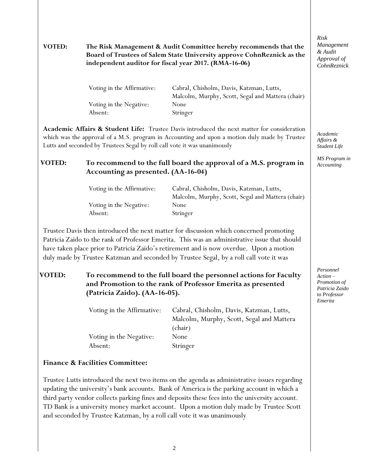## **VOTED: The Risk Management & Audit Committee hereby recommends that the Board of Trustees of Salem State University approve CohnReznick as the independent auditor for fiscal year 2017. (RMA-16-06)**

| Voting in the Affirmative: | Cabral, Chisholm, Davis, Katzman, Lutts,          |
|----------------------------|---------------------------------------------------|
|                            | Malcolm, Murphy, Scott, Segal and Mattera (chair) |
| Voting in the Negative:    | None                                              |
| Absent:                    | Stringer                                          |

**Academic Affairs & Student Life:** Trustee Davis introduced the next matter for consideration which was the approval of a M.S. program in Accounting and upon a motion duly made by Trustee Lutts and seconded by Trustees Segal by roll call vote it was unanimously

## **VOTED: To recommend to the full board the approval of a M.S. program in Accounting as presented. (AA-16-04)**

| Voting in the Affirmative: | Cabral, Chisholm, Davis, Katzman, Lutts,          |  |
|----------------------------|---------------------------------------------------|--|
|                            | Malcolm, Murphy, Scott, Segal and Mattera (chair) |  |
| Voting in the Negative:    | None                                              |  |
| Absent:                    | Stringer                                          |  |

Trustee Davis then introduced the next matter for discussion which concerned promoting Patricia Zaido to the rank of Professor Emerita. This was an administrative issue that should have taken place prior to Patricia Zaido's retirement and is now overdue. Upon a motion duly made by Trustee Katzman and seconded by Trustee Segal, by a roll call vote it was

## **VOTED: To recommend to the full board the personnel actions for Faculty and Promotion to the rank of Professor Emerita as presented (Patricia Zaido). (AA-16-05).**

| Voting in the Affirmative: | Cabral, Chisholm, Davis, Katzman, Lutts,  |  |
|----------------------------|-------------------------------------------|--|
|                            | Malcolm, Murphy, Scott, Segal and Mattera |  |
|                            | (chair)                                   |  |
| Voting in the Negative:    | None                                      |  |
| Absent:                    | Stringer                                  |  |

## **Finance & Facilities Committee:**

Trustee Lutts introduced the next two items on the agenda as administrative issues regarding updating the university's bank accounts. Bank of America is the parking account in which a third party vendor collects parking fines and deposits these fees into the university account. TD Bank is a university money market account. Upon a motion duly made by Trustee Scott and seconded by Trustee Katzman, by a roll call vote it was unanimously

*Risk Management & Audit Approval of CohnReznick*

*Academic Affairs & Student Life*

*MS Program in Accounting*

*Personnel Action – Promotion of Patricia Zaido to Professor Emerita*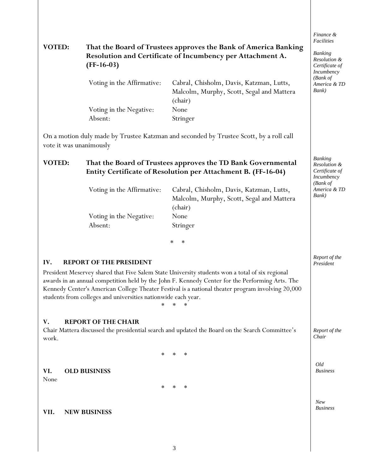## **VOTED: That the Board of Trustees approves the Bank of America Banking Resolution and Certificate of Incumbency per Attachment A. (FF-16-03)**

| Voting in the Affirmative: | Cabral, Chisholm, Davis, Katzman, Lutts,  |  |
|----------------------------|-------------------------------------------|--|
|                            | Malcolm, Murphy, Scott, Segal and Mattera |  |
|                            | (chair)                                   |  |
| Voting in the Negative:    | None                                      |  |
| Absent:                    | Stringer                                  |  |

On a motion duly made by Trustee Katzman and seconded by Trustee Scott, by a roll call vote it was unanimously

## **VOTED: That the Board of Trustees approves the TD Bank Governmental Entity Certificate of Resolution per Attachment B. (FF-16-04)**

| Voting in the Affirmative: | Cabral, Chisholm, Davis, Katzman, Lutts,<br>Malcolm, Murphy, Scott, Segal and Mattera |  |
|----------------------------|---------------------------------------------------------------------------------------|--|
| Voting in the Negative:    | (chair)<br>None                                                                       |  |
| Absent:                    | Stringer                                                                              |  |

\* \*

## **IV. REPORT OF THE PRESIDENT**

President Meservey shared that Five Salem State University students won a total of six regional awards in an annual competition held by the John F. Kennedy Center for the Performing Arts. The Kennedy Center's American College Theater Festival is a national theater program involving 20,000 students from colleges and universities nationwide each year.

\* \* \*

### **V. REPORT OF THE CHAIR**

Chair Mattera discussed the presidential search and updated the Board on the Search Committee's work.

\* \* \*

## **VI. OLD BUSINESS**

None

\* \* \*

### **VII. NEW BUSINESS**

*Finance & Facilities*

*Banking Resolution & Certificate of Incumbency (Bank of America & TD Bank)*

*Banking Resolution & Certificate of Incumbency (Bank of America & TD Bank)*

*Report of the President*

*Report of the Chair*

*Old Business*

*New Business*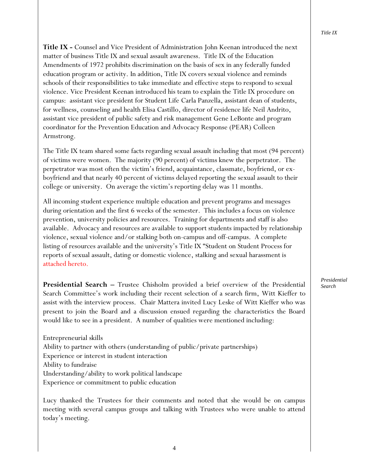**Title IX -** Counsel and Vice President of Administration John Keenan introduced the next matter of business Title IX and sexual assault awareness. Title IX of the Education Amendments of 1972 prohibits discrimination on the basis of sex in any federally funded education program or activity. In addition, Title IX covers sexual violence and reminds schools of their responsibilities to take immediate and effective steps to respond to sexual violence. Vice President Keenan introduced his team to explain the Title IX procedure on campus: assistant vice president for Student Life Carla Panzella, assistant dean of students, for wellness, counseling and health Elisa Castillo, director of residence life Neil Andrito, assistant vice president of public safety and risk management Gene LeBonte and program coordinator for the Prevention Education and Advocacy Response (PEAR) Colleen Armstrong.

The Title IX team shared some facts regarding sexual assault including that most (94 percent) of victims were women. The majority (90 percent) of victims knew the perpetrator. The perpetrator was most often the victim's friend, acquaintance, classmate, boyfriend, or exboyfriend and that nearly 40 percent of victims delayed reporting the sexual assault to their college or university. On average the victim's reporting delay was 11 months.

All incoming student experience multiple education and prevent programs and messages during orientation and the first 6 weeks of the semester. This includes a focus on violence prevention, university policies and resources. Training for departments and staff is also available. Advocacy and resources are available to support students impacted by relationship violence, sexual violence and/or stalking both on-campus and off-campus. A complete listing of resources available and the university's Title IX "Student on Student Process for reports of sexual assault, dating or domestic violence, stalking and sexual harassment is attached hereto.

**Presidential Search –** Trustee Chisholm provided a brief overview of the Presidential Search Committee's work including their recent selection of a search firm, Witt Kieffer to assist with the interview process. Chair Mattera invited Lucy Leske of Witt Kieffer who was present to join the Board and a discussion ensued regarding the characteristics the Board would like to see in a president. A number of qualities were mentioned including:

Entrepreneurial skills Ability to partner with others (understanding of public/private partnerships) Experience or interest in student interaction Ability to fundraise Understanding/ability to work political landscape Experience or commitment to public education

Lucy thanked the Trustees for their comments and noted that she would be on campus meeting with several campus groups and talking with Trustees who were unable to attend today's meeting.

*Presidential Search*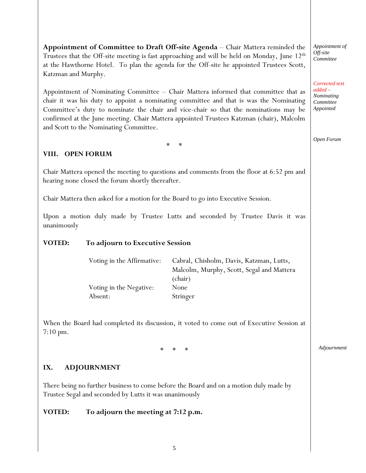**Appointment of Committee to Draft Off-site Agenda** – Chair Mattera reminded the Trustees that the Off-site meeting is fast approaching and will be held on Monday, June  $12<sup>th</sup>$ at the Hawthorne Hotel. To plan the agenda for the Off-site he appointed Trustees Scott, Katzman and Murphy.

Appointment of Nominating Committee – Chair Mattera informed that committee that as chair it was his duty to appoint a nominating committee and that is was the Nominating Committee's duty to nominate the chair and vice-chair so that the nominations may be confirmed at the June meeting. Chair Mattera appointed Trustees Katzman (chair), Malcolm and Scott to the Nominating Committee.

\* \*

## **VIII. OPEN FORUM**

Chair Mattera opened the meeting to questions and comments from the floor at 6:52 pm and hearing none closed the forum shortly thereafter.

Chair Mattera then asked for a motion for the Board to go into Executive Session.

Upon a motion duly made by Trustee Lutts and seconded by Trustee Davis it was unanimously

## **VOTED: To adjourn to Executive Session**

| Voting in the Affirmative: | Cabral, Chisholm, Davis, Katzman, Lutts,  |  |
|----------------------------|-------------------------------------------|--|
|                            | Malcolm, Murphy, Scott, Segal and Mattera |  |
|                            | (chair)                                   |  |
| Voting in the Negative:    | None                                      |  |
| Absent:                    | Stringer                                  |  |

When the Board had completed its discussion, it voted to come out of Executive Session at 7:10 pm.

\* \* \*

## **IX. ADJOURNMENT**

There being no further business to come before the Board and on a motion duly made by Trustee Segal and seconded by Lutts it was unanimously

## **VOTED: To adjourn the meeting at 7:12 p.m.**

*Appointment of Off-site Committee*

*Corrected text added – Nominating Committee Appointed*

*Open Forum*

*Adjournment*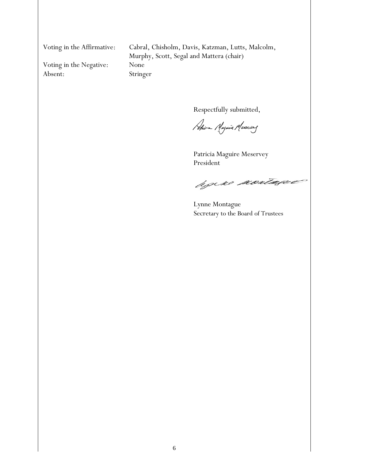Voting in the Negative: None Absent: Stringer

Voting in the Affirmative: Cabral, Chisholm, Davis, Katzman, Lutts, Malcolm, Murphy, Scott, Segal and Mattera (chair)

Respectfully submitted,

Africa Magnie Mexervery

Patricia Maguire Meservey President

hjeke kontagee

Lynne Montague Secretary to the Board of Trustees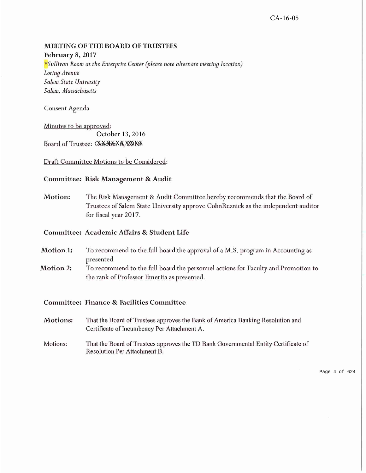#### **MEETING OF THE BOARD OF TRUSTEES**

February 8, 2017

\*Sullivan Room at the Enterprise Center (please note alternate meeting location) Loring Avenue Salem State University Salem, Massachusetts

Consent Agenda

Minutes to be approved: October 13, 2016Board of Trustee: OCXOLXXXXXXXX

Draft Committee Motions to be Considered:

#### Committee: Risk Management & Audit

at the Board of<br>dependent auditor<br>Accounting as<br>and Promotion to<br>solution and<br>x Certificate of<br>Page 4 of 624 **Motion:** for fiscal year 2017.

#### Committee: Academic Affairs & Student Life

- Motion 1: presented
- Motion 2: the rank of Professor Emerita as presented.

### Committee: Finance & Facilities Committee

- Motions: Certificate of Incumbency Per Attachment A.
- Motions: Resolution Per Attachment B.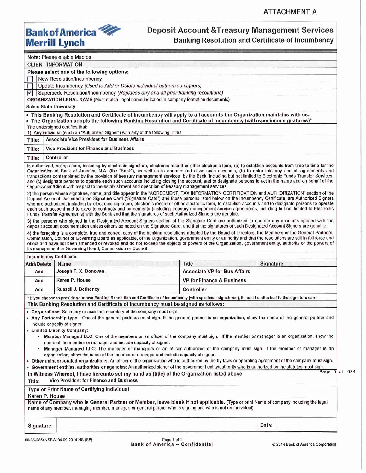

## **Deposit Account & Treasury Management Services Banking Resolution and Certificate of Incumbency**

| <b>CLIENT INFORMATION</b><br>Please select one of the following options:<br>New Resolution/Incumbency<br>Update Incumbency (Used to Add or Delete individual authorized signers)<br>$ \nabla $<br>Supersede Resolution/Incumbency (Replaces any and all prior banking resolutions)<br>ORGANIZATION LEGAL NAME (Must match legal name indicated in company formation documents)<br><b>Salem State University</b><br>. This Banking Resolution and Certificate of Incumbency will apply to all accounts the Organization maintains with us.<br>• The Organization adopts the following Banking Resolution and Certificate of Incumbency (with specimen signatures)*<br>The undersigned certifies that:<br>1) Any individual (each an "Authorized Signer") with any of the following Titles<br><b>Associate Vice President for Business Affairs</b><br><b>Vice President for Finance and Business</b><br>Controller<br>is authorized, acting alone, including by electronic signature, electronic record or other electronic form, (a) to establish accounts from time to time for the<br>Organization at Bank of America, N.A. (the "Bank"), as well as to operate and close such accounts, (b) to enter into any and all agreements and<br>transactions contemplated by the provision of treasury management services by the Bank, including but not limited to Electronic Funds Transfer Services,<br>and (c) designate persons to operate each such accounts including closing the account, and to designate persons to act in the name and on behalf of the<br>Organization/Client with respect to the establishment and operation of treasury management services.<br>2) the person whose signature, name, and title appear in the "AGREEMENT, TAX INFORMATION CERTIFICATION and AUTHORIZATION" section of the<br>Deposit Account Documentation Signature Card ("Signature Card") and those persons listed below on the Incumbency Certificate, are Authorized Signers<br>who are authorized, including by electronic signature, electronic record or other electronic form, to establish accounts and to designate persons to operate<br>each such account and to execute contracts and agreements (including treasury management service agreements, including but not limited to Electronic<br>Funds Transfer Agreements) with the Bank and that the signatures of such Authorized Signers are genuine.<br>3) the persons who signed in the Designated Account Signers section of the Signature Card are authorized to operate any accounts opened with the<br>deposit account documentation unless otherwise noted on the Signature Card, and that the signatures of such Designated Account Signers are genuine.<br>4) the foregoing is a complete, true and correct copy of the banking resolutions adopted by the Board of Directors, the Members or the General Partners,<br>Commission, Council or Governing Board as applicable, of the Organization, government entity or authority and that the resolutions are still in full force and<br>effect and have not been amended or revoked and do not exceed the objects or powers of the Organization, government entity, authority or the powers of<br>its management or Governing Board, Commission or Council.<br><b>Incumbency Certificate:</b><br><b>Title</b><br><b>Add/Delete</b><br><b>Signature</b><br>Name<br>Joseph F. X. Donovan<br><b>Associate VP for Bus Affairs</b><br>Add<br>Karen P. House<br><b>VP for Finance &amp; Business</b><br>Add<br>Russell J. Bethoney<br>Controller<br>Add<br>* If you choose to provide your own Banking Resolution and Certificate of Incumbency (with specimen signatures), it must be attached to the signature card.<br>This Banking Resolution and Certificate of Incumbency must be signed as follows:<br>• Corporations: Secretary or assistant secretary of the company must sign.<br>• Any Partnership type: One of the general partners must sign. If the general partner is an organization, show the name of the general partner and<br>include capacity of signer.<br>• Limited Liability Company:<br>" Member Managed LLC: One of the members or an officer of the company must sign. If the member or manager is an organization, show the<br>name of the member or manager and include capacity of signer.<br>" Manager Managed LLC: The manager or managers or an officer authorized of the company must sign. If the member or manager is an<br>organization, show the name of the member or manager and include capacity of signer.<br>. Other unincorporated organizations: An officer of the organization who is authorized by the by-laws or operating agreement of the company must sign.<br>. Government entities, authorities or agencies: An authorized signer of the government entity/authority who is authorized by the statutes must sign.<br>In Witness Whereof, I have hereunto set my hand as (title) of the Organization listed above<br>Vice President for Finance and Business<br>Title:<br>Type or Print Name of Certifying Individual<br>Karen P. House<br>Name of Company who is General Partner or Member, leave blank if not applicable. (Type or print Name of company including the legal<br>name of any member, managing member, manager, or general partner who is signing and who is not an individual)<br>Date:<br>Signature:<br>Page 1 of 1 |        | Note: Please enable Macros |                   |
|-------------------------------------------------------------------------------------------------------------------------------------------------------------------------------------------------------------------------------------------------------------------------------------------------------------------------------------------------------------------------------------------------------------------------------------------------------------------------------------------------------------------------------------------------------------------------------------------------------------------------------------------------------------------------------------------------------------------------------------------------------------------------------------------------------------------------------------------------------------------------------------------------------------------------------------------------------------------------------------------------------------------------------------------------------------------------------------------------------------------------------------------------------------------------------------------------------------------------------------------------------------------------------------------------------------------------------------------------------------------------------------------------------------------------------------------------------------------------------------------------------------------------------------------------------------------------------------------------------------------------------------------------------------------------------------------------------------------------------------------------------------------------------------------------------------------------------------------------------------------------------------------------------------------------------------------------------------------------------------------------------------------------------------------------------------------------------------------------------------------------------------------------------------------------------------------------------------------------------------------------------------------------------------------------------------------------------------------------------------------------------------------------------------------------------------------------------------------------------------------------------------------------------------------------------------------------------------------------------------------------------------------------------------------------------------------------------------------------------------------------------------------------------------------------------------------------------------------------------------------------------------------------------------------------------------------------------------------------------------------------------------------------------------------------------------------------------------------------------------------------------------------------------------------------------------------------------------------------------------------------------------------------------------------------------------------------------------------------------------------------------------------------------------------------------------------------------------------------------------------------------------------------------------------------------------------------------------------------------------------------------------------------------------------------------------------------------------------------------------------------------------------------------------------------------------------------------------------------------------------------------------------------------------------------------------------------------------------------------------------------------------------------------------------------------------------------------------------------------------------------------------------------------------------------------------------------------------------------------------------------------------------------------------------------------------------------------------------------------------------------------------------------------------------------------------------------------------------------------------------------------------------------------------------------------------------------------------------------------------------------------------------------------------------------------------------------------------------------------------------------------------------------------------------------------------------------------------------------------------------------------------------------------------------------------------------------------------------------------------------------------------------------------------------------------------------------------------------------------------------------------------------------------------------------------------------------------------------------------------------------------------------------------------------------------------------------------------------------------------------------------------------------------|--------|----------------------------|-------------------|
|                                                                                                                                                                                                                                                                                                                                                                                                                                                                                                                                                                                                                                                                                                                                                                                                                                                                                                                                                                                                                                                                                                                                                                                                                                                                                                                                                                                                                                                                                                                                                                                                                                                                                                                                                                                                                                                                                                                                                                                                                                                                                                                                                                                                                                                                                                                                                                                                                                                                                                                                                                                                                                                                                                                                                                                                                                                                                                                                                                                                                                                                                                                                                                                                                                                                                                                                                                                                                                                                                                                                                                                                                                                                                                                                                                                                                                                                                                                                                                                                                                                                                                                                                                                                                                                                                                                                                                                                                                                                                                                                                                                                                                                                                                                                                                                                                                                                                                                                                                                                                                                                                                                                                                                                                                                                                                                                                                                                       |        |                            |                   |
|                                                                                                                                                                                                                                                                                                                                                                                                                                                                                                                                                                                                                                                                                                                                                                                                                                                                                                                                                                                                                                                                                                                                                                                                                                                                                                                                                                                                                                                                                                                                                                                                                                                                                                                                                                                                                                                                                                                                                                                                                                                                                                                                                                                                                                                                                                                                                                                                                                                                                                                                                                                                                                                                                                                                                                                                                                                                                                                                                                                                                                                                                                                                                                                                                                                                                                                                                                                                                                                                                                                                                                                                                                                                                                                                                                                                                                                                                                                                                                                                                                                                                                                                                                                                                                                                                                                                                                                                                                                                                                                                                                                                                                                                                                                                                                                                                                                                                                                                                                                                                                                                                                                                                                                                                                                                                                                                                                                                       |        |                            |                   |
|                                                                                                                                                                                                                                                                                                                                                                                                                                                                                                                                                                                                                                                                                                                                                                                                                                                                                                                                                                                                                                                                                                                                                                                                                                                                                                                                                                                                                                                                                                                                                                                                                                                                                                                                                                                                                                                                                                                                                                                                                                                                                                                                                                                                                                                                                                                                                                                                                                                                                                                                                                                                                                                                                                                                                                                                                                                                                                                                                                                                                                                                                                                                                                                                                                                                                                                                                                                                                                                                                                                                                                                                                                                                                                                                                                                                                                                                                                                                                                                                                                                                                                                                                                                                                                                                                                                                                                                                                                                                                                                                                                                                                                                                                                                                                                                                                                                                                                                                                                                                                                                                                                                                                                                                                                                                                                                                                                                                       |        |                            |                   |
|                                                                                                                                                                                                                                                                                                                                                                                                                                                                                                                                                                                                                                                                                                                                                                                                                                                                                                                                                                                                                                                                                                                                                                                                                                                                                                                                                                                                                                                                                                                                                                                                                                                                                                                                                                                                                                                                                                                                                                                                                                                                                                                                                                                                                                                                                                                                                                                                                                                                                                                                                                                                                                                                                                                                                                                                                                                                                                                                                                                                                                                                                                                                                                                                                                                                                                                                                                                                                                                                                                                                                                                                                                                                                                                                                                                                                                                                                                                                                                                                                                                                                                                                                                                                                                                                                                                                                                                                                                                                                                                                                                                                                                                                                                                                                                                                                                                                                                                                                                                                                                                                                                                                                                                                                                                                                                                                                                                                       |        |                            |                   |
|                                                                                                                                                                                                                                                                                                                                                                                                                                                                                                                                                                                                                                                                                                                                                                                                                                                                                                                                                                                                                                                                                                                                                                                                                                                                                                                                                                                                                                                                                                                                                                                                                                                                                                                                                                                                                                                                                                                                                                                                                                                                                                                                                                                                                                                                                                                                                                                                                                                                                                                                                                                                                                                                                                                                                                                                                                                                                                                                                                                                                                                                                                                                                                                                                                                                                                                                                                                                                                                                                                                                                                                                                                                                                                                                                                                                                                                                                                                                                                                                                                                                                                                                                                                                                                                                                                                                                                                                                                                                                                                                                                                                                                                                                                                                                                                                                                                                                                                                                                                                                                                                                                                                                                                                                                                                                                                                                                                                       |        |                            |                   |
|                                                                                                                                                                                                                                                                                                                                                                                                                                                                                                                                                                                                                                                                                                                                                                                                                                                                                                                                                                                                                                                                                                                                                                                                                                                                                                                                                                                                                                                                                                                                                                                                                                                                                                                                                                                                                                                                                                                                                                                                                                                                                                                                                                                                                                                                                                                                                                                                                                                                                                                                                                                                                                                                                                                                                                                                                                                                                                                                                                                                                                                                                                                                                                                                                                                                                                                                                                                                                                                                                                                                                                                                                                                                                                                                                                                                                                                                                                                                                                                                                                                                                                                                                                                                                                                                                                                                                                                                                                                                                                                                                                                                                                                                                                                                                                                                                                                                                                                                                                                                                                                                                                                                                                                                                                                                                                                                                                                                       |        |                            |                   |
|                                                                                                                                                                                                                                                                                                                                                                                                                                                                                                                                                                                                                                                                                                                                                                                                                                                                                                                                                                                                                                                                                                                                                                                                                                                                                                                                                                                                                                                                                                                                                                                                                                                                                                                                                                                                                                                                                                                                                                                                                                                                                                                                                                                                                                                                                                                                                                                                                                                                                                                                                                                                                                                                                                                                                                                                                                                                                                                                                                                                                                                                                                                                                                                                                                                                                                                                                                                                                                                                                                                                                                                                                                                                                                                                                                                                                                                                                                                                                                                                                                                                                                                                                                                                                                                                                                                                                                                                                                                                                                                                                                                                                                                                                                                                                                                                                                                                                                                                                                                                                                                                                                                                                                                                                                                                                                                                                                                                       |        |                            |                   |
|                                                                                                                                                                                                                                                                                                                                                                                                                                                                                                                                                                                                                                                                                                                                                                                                                                                                                                                                                                                                                                                                                                                                                                                                                                                                                                                                                                                                                                                                                                                                                                                                                                                                                                                                                                                                                                                                                                                                                                                                                                                                                                                                                                                                                                                                                                                                                                                                                                                                                                                                                                                                                                                                                                                                                                                                                                                                                                                                                                                                                                                                                                                                                                                                                                                                                                                                                                                                                                                                                                                                                                                                                                                                                                                                                                                                                                                                                                                                                                                                                                                                                                                                                                                                                                                                                                                                                                                                                                                                                                                                                                                                                                                                                                                                                                                                                                                                                                                                                                                                                                                                                                                                                                                                                                                                                                                                                                                                       |        |                            |                   |
|                                                                                                                                                                                                                                                                                                                                                                                                                                                                                                                                                                                                                                                                                                                                                                                                                                                                                                                                                                                                                                                                                                                                                                                                                                                                                                                                                                                                                                                                                                                                                                                                                                                                                                                                                                                                                                                                                                                                                                                                                                                                                                                                                                                                                                                                                                                                                                                                                                                                                                                                                                                                                                                                                                                                                                                                                                                                                                                                                                                                                                                                                                                                                                                                                                                                                                                                                                                                                                                                                                                                                                                                                                                                                                                                                                                                                                                                                                                                                                                                                                                                                                                                                                                                                                                                                                                                                                                                                                                                                                                                                                                                                                                                                                                                                                                                                                                                                                                                                                                                                                                                                                                                                                                                                                                                                                                                                                                                       |        |                            |                   |
|                                                                                                                                                                                                                                                                                                                                                                                                                                                                                                                                                                                                                                                                                                                                                                                                                                                                                                                                                                                                                                                                                                                                                                                                                                                                                                                                                                                                                                                                                                                                                                                                                                                                                                                                                                                                                                                                                                                                                                                                                                                                                                                                                                                                                                                                                                                                                                                                                                                                                                                                                                                                                                                                                                                                                                                                                                                                                                                                                                                                                                                                                                                                                                                                                                                                                                                                                                                                                                                                                                                                                                                                                                                                                                                                                                                                                                                                                                                                                                                                                                                                                                                                                                                                                                                                                                                                                                                                                                                                                                                                                                                                                                                                                                                                                                                                                                                                                                                                                                                                                                                                                                                                                                                                                                                                                                                                                                                                       |        |                            |                   |
|                                                                                                                                                                                                                                                                                                                                                                                                                                                                                                                                                                                                                                                                                                                                                                                                                                                                                                                                                                                                                                                                                                                                                                                                                                                                                                                                                                                                                                                                                                                                                                                                                                                                                                                                                                                                                                                                                                                                                                                                                                                                                                                                                                                                                                                                                                                                                                                                                                                                                                                                                                                                                                                                                                                                                                                                                                                                                                                                                                                                                                                                                                                                                                                                                                                                                                                                                                                                                                                                                                                                                                                                                                                                                                                                                                                                                                                                                                                                                                                                                                                                                                                                                                                                                                                                                                                                                                                                                                                                                                                                                                                                                                                                                                                                                                                                                                                                                                                                                                                                                                                                                                                                                                                                                                                                                                                                                                                                       | Title: |                            |                   |
|                                                                                                                                                                                                                                                                                                                                                                                                                                                                                                                                                                                                                                                                                                                                                                                                                                                                                                                                                                                                                                                                                                                                                                                                                                                                                                                                                                                                                                                                                                                                                                                                                                                                                                                                                                                                                                                                                                                                                                                                                                                                                                                                                                                                                                                                                                                                                                                                                                                                                                                                                                                                                                                                                                                                                                                                                                                                                                                                                                                                                                                                                                                                                                                                                                                                                                                                                                                                                                                                                                                                                                                                                                                                                                                                                                                                                                                                                                                                                                                                                                                                                                                                                                                                                                                                                                                                                                                                                                                                                                                                                                                                                                                                                                                                                                                                                                                                                                                                                                                                                                                                                                                                                                                                                                                                                                                                                                                                       | Title: |                            |                   |
|                                                                                                                                                                                                                                                                                                                                                                                                                                                                                                                                                                                                                                                                                                                                                                                                                                                                                                                                                                                                                                                                                                                                                                                                                                                                                                                                                                                                                                                                                                                                                                                                                                                                                                                                                                                                                                                                                                                                                                                                                                                                                                                                                                                                                                                                                                                                                                                                                                                                                                                                                                                                                                                                                                                                                                                                                                                                                                                                                                                                                                                                                                                                                                                                                                                                                                                                                                                                                                                                                                                                                                                                                                                                                                                                                                                                                                                                                                                                                                                                                                                                                                                                                                                                                                                                                                                                                                                                                                                                                                                                                                                                                                                                                                                                                                                                                                                                                                                                                                                                                                                                                                                                                                                                                                                                                                                                                                                                       | Title: |                            |                   |
|                                                                                                                                                                                                                                                                                                                                                                                                                                                                                                                                                                                                                                                                                                                                                                                                                                                                                                                                                                                                                                                                                                                                                                                                                                                                                                                                                                                                                                                                                                                                                                                                                                                                                                                                                                                                                                                                                                                                                                                                                                                                                                                                                                                                                                                                                                                                                                                                                                                                                                                                                                                                                                                                                                                                                                                                                                                                                                                                                                                                                                                                                                                                                                                                                                                                                                                                                                                                                                                                                                                                                                                                                                                                                                                                                                                                                                                                                                                                                                                                                                                                                                                                                                                                                                                                                                                                                                                                                                                                                                                                                                                                                                                                                                                                                                                                                                                                                                                                                                                                                                                                                                                                                                                                                                                                                                                                                                                                       |        |                            |                   |
|                                                                                                                                                                                                                                                                                                                                                                                                                                                                                                                                                                                                                                                                                                                                                                                                                                                                                                                                                                                                                                                                                                                                                                                                                                                                                                                                                                                                                                                                                                                                                                                                                                                                                                                                                                                                                                                                                                                                                                                                                                                                                                                                                                                                                                                                                                                                                                                                                                                                                                                                                                                                                                                                                                                                                                                                                                                                                                                                                                                                                                                                                                                                                                                                                                                                                                                                                                                                                                                                                                                                                                                                                                                                                                                                                                                                                                                                                                                                                                                                                                                                                                                                                                                                                                                                                                                                                                                                                                                                                                                                                                                                                                                                                                                                                                                                                                                                                                                                                                                                                                                                                                                                                                                                                                                                                                                                                                                                       |        |                            |                   |
|                                                                                                                                                                                                                                                                                                                                                                                                                                                                                                                                                                                                                                                                                                                                                                                                                                                                                                                                                                                                                                                                                                                                                                                                                                                                                                                                                                                                                                                                                                                                                                                                                                                                                                                                                                                                                                                                                                                                                                                                                                                                                                                                                                                                                                                                                                                                                                                                                                                                                                                                                                                                                                                                                                                                                                                                                                                                                                                                                                                                                                                                                                                                                                                                                                                                                                                                                                                                                                                                                                                                                                                                                                                                                                                                                                                                                                                                                                                                                                                                                                                                                                                                                                                                                                                                                                                                                                                                                                                                                                                                                                                                                                                                                                                                                                                                                                                                                                                                                                                                                                                                                                                                                                                                                                                                                                                                                                                                       |        |                            |                   |
|                                                                                                                                                                                                                                                                                                                                                                                                                                                                                                                                                                                                                                                                                                                                                                                                                                                                                                                                                                                                                                                                                                                                                                                                                                                                                                                                                                                                                                                                                                                                                                                                                                                                                                                                                                                                                                                                                                                                                                                                                                                                                                                                                                                                                                                                                                                                                                                                                                                                                                                                                                                                                                                                                                                                                                                                                                                                                                                                                                                                                                                                                                                                                                                                                                                                                                                                                                                                                                                                                                                                                                                                                                                                                                                                                                                                                                                                                                                                                                                                                                                                                                                                                                                                                                                                                                                                                                                                                                                                                                                                                                                                                                                                                                                                                                                                                                                                                                                                                                                                                                                                                                                                                                                                                                                                                                                                                                                                       |        |                            |                   |
|                                                                                                                                                                                                                                                                                                                                                                                                                                                                                                                                                                                                                                                                                                                                                                                                                                                                                                                                                                                                                                                                                                                                                                                                                                                                                                                                                                                                                                                                                                                                                                                                                                                                                                                                                                                                                                                                                                                                                                                                                                                                                                                                                                                                                                                                                                                                                                                                                                                                                                                                                                                                                                                                                                                                                                                                                                                                                                                                                                                                                                                                                                                                                                                                                                                                                                                                                                                                                                                                                                                                                                                                                                                                                                                                                                                                                                                                                                                                                                                                                                                                                                                                                                                                                                                                                                                                                                                                                                                                                                                                                                                                                                                                                                                                                                                                                                                                                                                                                                                                                                                                                                                                                                                                                                                                                                                                                                                                       |        |                            |                   |
|                                                                                                                                                                                                                                                                                                                                                                                                                                                                                                                                                                                                                                                                                                                                                                                                                                                                                                                                                                                                                                                                                                                                                                                                                                                                                                                                                                                                                                                                                                                                                                                                                                                                                                                                                                                                                                                                                                                                                                                                                                                                                                                                                                                                                                                                                                                                                                                                                                                                                                                                                                                                                                                                                                                                                                                                                                                                                                                                                                                                                                                                                                                                                                                                                                                                                                                                                                                                                                                                                                                                                                                                                                                                                                                                                                                                                                                                                                                                                                                                                                                                                                                                                                                                                                                                                                                                                                                                                                                                                                                                                                                                                                                                                                                                                                                                                                                                                                                                                                                                                                                                                                                                                                                                                                                                                                                                                                                                       |        |                            |                   |
|                                                                                                                                                                                                                                                                                                                                                                                                                                                                                                                                                                                                                                                                                                                                                                                                                                                                                                                                                                                                                                                                                                                                                                                                                                                                                                                                                                                                                                                                                                                                                                                                                                                                                                                                                                                                                                                                                                                                                                                                                                                                                                                                                                                                                                                                                                                                                                                                                                                                                                                                                                                                                                                                                                                                                                                                                                                                                                                                                                                                                                                                                                                                                                                                                                                                                                                                                                                                                                                                                                                                                                                                                                                                                                                                                                                                                                                                                                                                                                                                                                                                                                                                                                                                                                                                                                                                                                                                                                                                                                                                                                                                                                                                                                                                                                                                                                                                                                                                                                                                                                                                                                                                                                                                                                                                                                                                                                                                       |        |                            |                   |
|                                                                                                                                                                                                                                                                                                                                                                                                                                                                                                                                                                                                                                                                                                                                                                                                                                                                                                                                                                                                                                                                                                                                                                                                                                                                                                                                                                                                                                                                                                                                                                                                                                                                                                                                                                                                                                                                                                                                                                                                                                                                                                                                                                                                                                                                                                                                                                                                                                                                                                                                                                                                                                                                                                                                                                                                                                                                                                                                                                                                                                                                                                                                                                                                                                                                                                                                                                                                                                                                                                                                                                                                                                                                                                                                                                                                                                                                                                                                                                                                                                                                                                                                                                                                                                                                                                                                                                                                                                                                                                                                                                                                                                                                                                                                                                                                                                                                                                                                                                                                                                                                                                                                                                                                                                                                                                                                                                                                       |        |                            |                   |
|                                                                                                                                                                                                                                                                                                                                                                                                                                                                                                                                                                                                                                                                                                                                                                                                                                                                                                                                                                                                                                                                                                                                                                                                                                                                                                                                                                                                                                                                                                                                                                                                                                                                                                                                                                                                                                                                                                                                                                                                                                                                                                                                                                                                                                                                                                                                                                                                                                                                                                                                                                                                                                                                                                                                                                                                                                                                                                                                                                                                                                                                                                                                                                                                                                                                                                                                                                                                                                                                                                                                                                                                                                                                                                                                                                                                                                                                                                                                                                                                                                                                                                                                                                                                                                                                                                                                                                                                                                                                                                                                                                                                                                                                                                                                                                                                                                                                                                                                                                                                                                                                                                                                                                                                                                                                                                                                                                                                       |        |                            |                   |
|                                                                                                                                                                                                                                                                                                                                                                                                                                                                                                                                                                                                                                                                                                                                                                                                                                                                                                                                                                                                                                                                                                                                                                                                                                                                                                                                                                                                                                                                                                                                                                                                                                                                                                                                                                                                                                                                                                                                                                                                                                                                                                                                                                                                                                                                                                                                                                                                                                                                                                                                                                                                                                                                                                                                                                                                                                                                                                                                                                                                                                                                                                                                                                                                                                                                                                                                                                                                                                                                                                                                                                                                                                                                                                                                                                                                                                                                                                                                                                                                                                                                                                                                                                                                                                                                                                                                                                                                                                                                                                                                                                                                                                                                                                                                                                                                                                                                                                                                                                                                                                                                                                                                                                                                                                                                                                                                                                                                       |        |                            |                   |
|                                                                                                                                                                                                                                                                                                                                                                                                                                                                                                                                                                                                                                                                                                                                                                                                                                                                                                                                                                                                                                                                                                                                                                                                                                                                                                                                                                                                                                                                                                                                                                                                                                                                                                                                                                                                                                                                                                                                                                                                                                                                                                                                                                                                                                                                                                                                                                                                                                                                                                                                                                                                                                                                                                                                                                                                                                                                                                                                                                                                                                                                                                                                                                                                                                                                                                                                                                                                                                                                                                                                                                                                                                                                                                                                                                                                                                                                                                                                                                                                                                                                                                                                                                                                                                                                                                                                                                                                                                                                                                                                                                                                                                                                                                                                                                                                                                                                                                                                                                                                                                                                                                                                                                                                                                                                                                                                                                                                       |        |                            |                   |
|                                                                                                                                                                                                                                                                                                                                                                                                                                                                                                                                                                                                                                                                                                                                                                                                                                                                                                                                                                                                                                                                                                                                                                                                                                                                                                                                                                                                                                                                                                                                                                                                                                                                                                                                                                                                                                                                                                                                                                                                                                                                                                                                                                                                                                                                                                                                                                                                                                                                                                                                                                                                                                                                                                                                                                                                                                                                                                                                                                                                                                                                                                                                                                                                                                                                                                                                                                                                                                                                                                                                                                                                                                                                                                                                                                                                                                                                                                                                                                                                                                                                                                                                                                                                                                                                                                                                                                                                                                                                                                                                                                                                                                                                                                                                                                                                                                                                                                                                                                                                                                                                                                                                                                                                                                                                                                                                                                                                       |        |                            |                   |
|                                                                                                                                                                                                                                                                                                                                                                                                                                                                                                                                                                                                                                                                                                                                                                                                                                                                                                                                                                                                                                                                                                                                                                                                                                                                                                                                                                                                                                                                                                                                                                                                                                                                                                                                                                                                                                                                                                                                                                                                                                                                                                                                                                                                                                                                                                                                                                                                                                                                                                                                                                                                                                                                                                                                                                                                                                                                                                                                                                                                                                                                                                                                                                                                                                                                                                                                                                                                                                                                                                                                                                                                                                                                                                                                                                                                                                                                                                                                                                                                                                                                                                                                                                                                                                                                                                                                                                                                                                                                                                                                                                                                                                                                                                                                                                                                                                                                                                                                                                                                                                                                                                                                                                                                                                                                                                                                                                                                       |        |                            |                   |
|                                                                                                                                                                                                                                                                                                                                                                                                                                                                                                                                                                                                                                                                                                                                                                                                                                                                                                                                                                                                                                                                                                                                                                                                                                                                                                                                                                                                                                                                                                                                                                                                                                                                                                                                                                                                                                                                                                                                                                                                                                                                                                                                                                                                                                                                                                                                                                                                                                                                                                                                                                                                                                                                                                                                                                                                                                                                                                                                                                                                                                                                                                                                                                                                                                                                                                                                                                                                                                                                                                                                                                                                                                                                                                                                                                                                                                                                                                                                                                                                                                                                                                                                                                                                                                                                                                                                                                                                                                                                                                                                                                                                                                                                                                                                                                                                                                                                                                                                                                                                                                                                                                                                                                                                                                                                                                                                                                                                       |        |                            |                   |
|                                                                                                                                                                                                                                                                                                                                                                                                                                                                                                                                                                                                                                                                                                                                                                                                                                                                                                                                                                                                                                                                                                                                                                                                                                                                                                                                                                                                                                                                                                                                                                                                                                                                                                                                                                                                                                                                                                                                                                                                                                                                                                                                                                                                                                                                                                                                                                                                                                                                                                                                                                                                                                                                                                                                                                                                                                                                                                                                                                                                                                                                                                                                                                                                                                                                                                                                                                                                                                                                                                                                                                                                                                                                                                                                                                                                                                                                                                                                                                                                                                                                                                                                                                                                                                                                                                                                                                                                                                                                                                                                                                                                                                                                                                                                                                                                                                                                                                                                                                                                                                                                                                                                                                                                                                                                                                                                                                                                       |        |                            |                   |
|                                                                                                                                                                                                                                                                                                                                                                                                                                                                                                                                                                                                                                                                                                                                                                                                                                                                                                                                                                                                                                                                                                                                                                                                                                                                                                                                                                                                                                                                                                                                                                                                                                                                                                                                                                                                                                                                                                                                                                                                                                                                                                                                                                                                                                                                                                                                                                                                                                                                                                                                                                                                                                                                                                                                                                                                                                                                                                                                                                                                                                                                                                                                                                                                                                                                                                                                                                                                                                                                                                                                                                                                                                                                                                                                                                                                                                                                                                                                                                                                                                                                                                                                                                                                                                                                                                                                                                                                                                                                                                                                                                                                                                                                                                                                                                                                                                                                                                                                                                                                                                                                                                                                                                                                                                                                                                                                                                                                       |        |                            |                   |
|                                                                                                                                                                                                                                                                                                                                                                                                                                                                                                                                                                                                                                                                                                                                                                                                                                                                                                                                                                                                                                                                                                                                                                                                                                                                                                                                                                                                                                                                                                                                                                                                                                                                                                                                                                                                                                                                                                                                                                                                                                                                                                                                                                                                                                                                                                                                                                                                                                                                                                                                                                                                                                                                                                                                                                                                                                                                                                                                                                                                                                                                                                                                                                                                                                                                                                                                                                                                                                                                                                                                                                                                                                                                                                                                                                                                                                                                                                                                                                                                                                                                                                                                                                                                                                                                                                                                                                                                                                                                                                                                                                                                                                                                                                                                                                                                                                                                                                                                                                                                                                                                                                                                                                                                                                                                                                                                                                                                       |        |                            |                   |
|                                                                                                                                                                                                                                                                                                                                                                                                                                                                                                                                                                                                                                                                                                                                                                                                                                                                                                                                                                                                                                                                                                                                                                                                                                                                                                                                                                                                                                                                                                                                                                                                                                                                                                                                                                                                                                                                                                                                                                                                                                                                                                                                                                                                                                                                                                                                                                                                                                                                                                                                                                                                                                                                                                                                                                                                                                                                                                                                                                                                                                                                                                                                                                                                                                                                                                                                                                                                                                                                                                                                                                                                                                                                                                                                                                                                                                                                                                                                                                                                                                                                                                                                                                                                                                                                                                                                                                                                                                                                                                                                                                                                                                                                                                                                                                                                                                                                                                                                                                                                                                                                                                                                                                                                                                                                                                                                                                                                       |        |                            |                   |
|                                                                                                                                                                                                                                                                                                                                                                                                                                                                                                                                                                                                                                                                                                                                                                                                                                                                                                                                                                                                                                                                                                                                                                                                                                                                                                                                                                                                                                                                                                                                                                                                                                                                                                                                                                                                                                                                                                                                                                                                                                                                                                                                                                                                                                                                                                                                                                                                                                                                                                                                                                                                                                                                                                                                                                                                                                                                                                                                                                                                                                                                                                                                                                                                                                                                                                                                                                                                                                                                                                                                                                                                                                                                                                                                                                                                                                                                                                                                                                                                                                                                                                                                                                                                                                                                                                                                                                                                                                                                                                                                                                                                                                                                                                                                                                                                                                                                                                                                                                                                                                                                                                                                                                                                                                                                                                                                                                                                       |        |                            |                   |
|                                                                                                                                                                                                                                                                                                                                                                                                                                                                                                                                                                                                                                                                                                                                                                                                                                                                                                                                                                                                                                                                                                                                                                                                                                                                                                                                                                                                                                                                                                                                                                                                                                                                                                                                                                                                                                                                                                                                                                                                                                                                                                                                                                                                                                                                                                                                                                                                                                                                                                                                                                                                                                                                                                                                                                                                                                                                                                                                                                                                                                                                                                                                                                                                                                                                                                                                                                                                                                                                                                                                                                                                                                                                                                                                                                                                                                                                                                                                                                                                                                                                                                                                                                                                                                                                                                                                                                                                                                                                                                                                                                                                                                                                                                                                                                                                                                                                                                                                                                                                                                                                                                                                                                                                                                                                                                                                                                                                       |        |                            | Page $5$ of $624$ |
|                                                                                                                                                                                                                                                                                                                                                                                                                                                                                                                                                                                                                                                                                                                                                                                                                                                                                                                                                                                                                                                                                                                                                                                                                                                                                                                                                                                                                                                                                                                                                                                                                                                                                                                                                                                                                                                                                                                                                                                                                                                                                                                                                                                                                                                                                                                                                                                                                                                                                                                                                                                                                                                                                                                                                                                                                                                                                                                                                                                                                                                                                                                                                                                                                                                                                                                                                                                                                                                                                                                                                                                                                                                                                                                                                                                                                                                                                                                                                                                                                                                                                                                                                                                                                                                                                                                                                                                                                                                                                                                                                                                                                                                                                                                                                                                                                                                                                                                                                                                                                                                                                                                                                                                                                                                                                                                                                                                                       |        |                            |                   |
|                                                                                                                                                                                                                                                                                                                                                                                                                                                                                                                                                                                                                                                                                                                                                                                                                                                                                                                                                                                                                                                                                                                                                                                                                                                                                                                                                                                                                                                                                                                                                                                                                                                                                                                                                                                                                                                                                                                                                                                                                                                                                                                                                                                                                                                                                                                                                                                                                                                                                                                                                                                                                                                                                                                                                                                                                                                                                                                                                                                                                                                                                                                                                                                                                                                                                                                                                                                                                                                                                                                                                                                                                                                                                                                                                                                                                                                                                                                                                                                                                                                                                                                                                                                                                                                                                                                                                                                                                                                                                                                                                                                                                                                                                                                                                                                                                                                                                                                                                                                                                                                                                                                                                                                                                                                                                                                                                                                                       |        |                            |                   |
|                                                                                                                                                                                                                                                                                                                                                                                                                                                                                                                                                                                                                                                                                                                                                                                                                                                                                                                                                                                                                                                                                                                                                                                                                                                                                                                                                                                                                                                                                                                                                                                                                                                                                                                                                                                                                                                                                                                                                                                                                                                                                                                                                                                                                                                                                                                                                                                                                                                                                                                                                                                                                                                                                                                                                                                                                                                                                                                                                                                                                                                                                                                                                                                                                                                                                                                                                                                                                                                                                                                                                                                                                                                                                                                                                                                                                                                                                                                                                                                                                                                                                                                                                                                                                                                                                                                                                                                                                                                                                                                                                                                                                                                                                                                                                                                                                                                                                                                                                                                                                                                                                                                                                                                                                                                                                                                                                                                                       |        |                            |                   |
|                                                                                                                                                                                                                                                                                                                                                                                                                                                                                                                                                                                                                                                                                                                                                                                                                                                                                                                                                                                                                                                                                                                                                                                                                                                                                                                                                                                                                                                                                                                                                                                                                                                                                                                                                                                                                                                                                                                                                                                                                                                                                                                                                                                                                                                                                                                                                                                                                                                                                                                                                                                                                                                                                                                                                                                                                                                                                                                                                                                                                                                                                                                                                                                                                                                                                                                                                                                                                                                                                                                                                                                                                                                                                                                                                                                                                                                                                                                                                                                                                                                                                                                                                                                                                                                                                                                                                                                                                                                                                                                                                                                                                                                                                                                                                                                                                                                                                                                                                                                                                                                                                                                                                                                                                                                                                                                                                                                                       |        |                            |                   |
|                                                                                                                                                                                                                                                                                                                                                                                                                                                                                                                                                                                                                                                                                                                                                                                                                                                                                                                                                                                                                                                                                                                                                                                                                                                                                                                                                                                                                                                                                                                                                                                                                                                                                                                                                                                                                                                                                                                                                                                                                                                                                                                                                                                                                                                                                                                                                                                                                                                                                                                                                                                                                                                                                                                                                                                                                                                                                                                                                                                                                                                                                                                                                                                                                                                                                                                                                                                                                                                                                                                                                                                                                                                                                                                                                                                                                                                                                                                                                                                                                                                                                                                                                                                                                                                                                                                                                                                                                                                                                                                                                                                                                                                                                                                                                                                                                                                                                                                                                                                                                                                                                                                                                                                                                                                                                                                                                                                                       |        |                            |                   |
|                                                                                                                                                                                                                                                                                                                                                                                                                                                                                                                                                                                                                                                                                                                                                                                                                                                                                                                                                                                                                                                                                                                                                                                                                                                                                                                                                                                                                                                                                                                                                                                                                                                                                                                                                                                                                                                                                                                                                                                                                                                                                                                                                                                                                                                                                                                                                                                                                                                                                                                                                                                                                                                                                                                                                                                                                                                                                                                                                                                                                                                                                                                                                                                                                                                                                                                                                                                                                                                                                                                                                                                                                                                                                                                                                                                                                                                                                                                                                                                                                                                                                                                                                                                                                                                                                                                                                                                                                                                                                                                                                                                                                                                                                                                                                                                                                                                                                                                                                                                                                                                                                                                                                                                                                                                                                                                                                                                                       |        |                            |                   |

© 2014 Bank of America Corporation